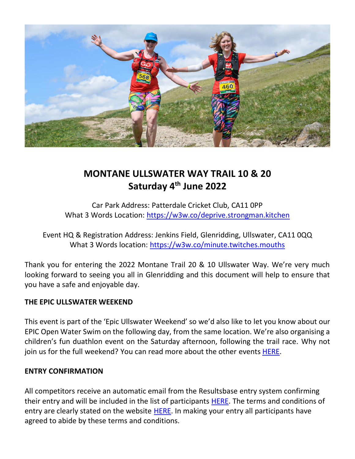

### **MONTANE ULLSWATER WAY TRAIL 10 & 20 Saturday 4 th June 2022**

Car Park Address: Patterdale Cricket Club, CA11 0PP What 3 Words Location:<https://w3w.co/deprive.strongman.kitchen>

Event HQ & Registration Address: Jenkins Field, Glenridding, Ullswater, CA11 0QQ What 3 Words location:<https://w3w.co/minute.twitches.mouths>

Thank you for entering the 2022 Montane Trail 20 & 10 Ullswater Way. We're very much looking forward to seeing you all in Glenridding and this document will help to ensure that you have a safe and enjoyable day.

#### **THE EPIC ULLSWATER WEEKEND**

This event is part of the 'Epic Ullswater Weekend' so we'd also like to let you know about our EPIC Open Water Swim on the following day, from the same location. We're also organising a children's fun duathlon event on the Saturday afternoon, following the trail race. Why not join us for the full weekend? You can read more about the other events **HERE**.

#### **ENTRY CONFIRMATION**

All competitors receive an automatic email from the Resultsbase entry system confirming their entry and will be included in the list of participants **HERE**. The terms and conditions of entry are clearly stated on the website [HERE.](https://lakeland100.com/terms-conditions/) In making your entry all participants have agreed to abide by these terms and conditions.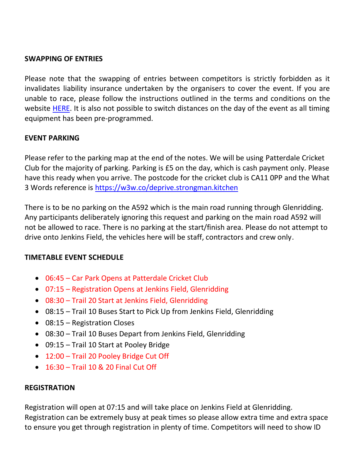#### **SWAPPING OF ENTRIES**

Please note that the swapping of entries between competitors is strictly forbidden as it invalidates liability insurance undertaken by the organisers to cover the event. If you are unable to race, please follow the instructions outlined in the terms and conditions on the website [HERE.](https://lakeland100.com/terms-conditions/) It is also not possible to switch distances on the day of the event as all timing equipment has been pre-programmed.

#### **EVENT PARKING**

Please refer to the parking map at the end of the notes. We will be using Patterdale Cricket Club for the majority of parking. Parking is £5 on the day, which is cash payment only. Please have this ready when you arrive. The postcode for the cricket club is CA11 0PP and the What 3 Words reference is<https://w3w.co/deprive.strongman.kitchen>

There is to be no parking on the A592 which is the main road running through Glenridding. Any participants deliberately ignoring this request and parking on the main road A592 will not be allowed to race. There is no parking at the start/finish area. Please do not attempt to drive onto Jenkins Field, the vehicles here will be staff, contractors and crew only.

#### **TIMETABLE EVENT SCHEDULE**

- 06:45 Car Park Opens at Patterdale Cricket Club
- 07:15 Registration Opens at Jenkins Field, Glenridding
- 08:30 Trail 20 Start at Jenkins Field, Glenridding
- 08:15 Trail 10 Buses Start to Pick Up from Jenkins Field, Glenridding
- 08:15 Registration Closes
- 08:30 Trail 10 Buses Depart from Jenkins Field, Glenridding
- 09:15 Trail 10 Start at Pooley Bridge
- 12:00 Trail 20 Pooley Bridge Cut Off
- 16:30 Trail 10 & 20 Final Cut Off

#### **REGISTRATION**

Registration will open at 07:15 and will take place on Jenkins Field at Glenridding. Registration can be extremely busy at peak times so please allow extra time and extra space to ensure you get through registration in plenty of time. Competitors will need to show ID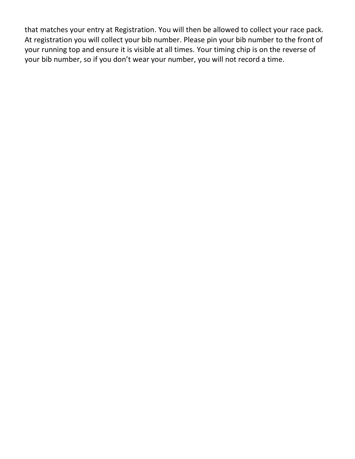that matches your entry at Registration. You will then be allowed to collect your race pack. At registration you will collect your bib number. Please pin your bib number to the front of your running top and ensure it is visible at all times. Your timing chip is on the reverse of your bib number, so if you don't wear your number, you will not record a time.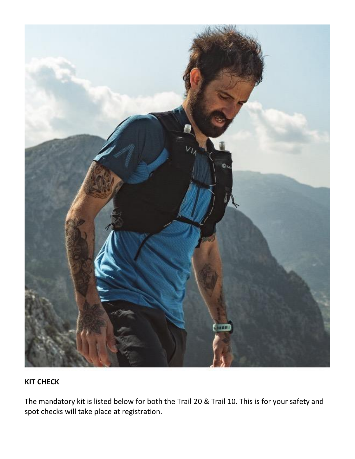

#### **KIT CHECK**

The mandatory kit is listed below for both the Trail 20 & Trail 10. This is for your safety and spot checks will take place at registration.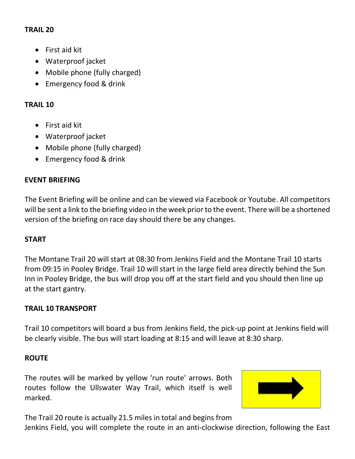#### **TRAIL 20**

- First aid kit
- Waterproof jacket
- Mobile phone (fully charged)
- Emergency food & drink

#### **TRAIL 10**

- First aid kit
- Waterproof jacket
- Mobile phone (fully charged)
- Emergency food & drink

#### **EVENT BRIEFING**

The Event Briefing will be online and can be viewed via Facebook or Youtube. All competitors will be sent a link to the briefing video in the week prior to the event. There will be a shortened version of the briefing on race day should there be any changes.

#### **START**

The Montane Trail 20 will start at 08:30 from Jenkins Field and the Montane Trail 10 starts from 09:15 in Pooley Bridge. Trail 10 will start in the large field area directly behind the Sun Inn in Pooley Bridge, the bus will drop you off at the start field and you should then line up at the start gantry.

#### **TRAIL 10 TRANSPORT**

Trail 10 competitors will board a bus from Jenkins field, the pick-up point at Jenkins field will be clearly visible. The bus will start loading at 8:15 and will leave at 8:30 sharp.

#### **ROUTE**

The routes will be marked by yellow 'run route' arrows. Both routes follow the Ullswater Way Trail, which itself is well marked.



The Trail 20 route is actually 21.5 miles in total and begins from Jenkins Field, you will complete the route in an anti-clockwise direction, following the East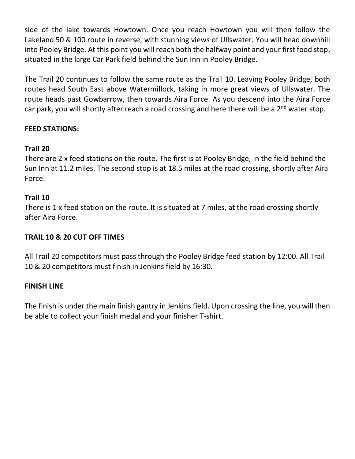side of the lake towards Howtown. Once you reach Howtown you will then follow the Lakeland 50 & 100 route in reverse, with stunning views of Ullswater. You will head downhill into Pooley Bridge. At this point you will reach both the halfway point and your first food stop, situated in the large Car Park field behind the Sun Inn in Pooley Bridge.

The Trail 20 continues to follow the same route as the Trail 10. Leaving Pooley Bridge, both routes head South East above Watermillock, taking in more great views of Ullswater. The route heads past Gowbarrow, then towards Aira Force. As you descend into the Aira Force car park, you will shortly after reach a road crossing and here there will be a  $2<sup>nd</sup>$  water stop.

#### **FEED STATIONS:**

#### **Trail 20**

There are 2 x feed stations on the route. The first is at Pooley Bridge, in the field behind the Sun Inn at 11.2 miles. The second stop is at 18.5 miles at the road crossing, shortly after Aira Force.

#### **Trail 10**

There is 1 x feed station on the route. It is situated at 7 miles, at the road crossing shortly after Aira Force.

#### **TRAIL 10 & 20 CUT OFF TIMES**

All Trail 20 competitors must pass through the Pooley Bridge feed station by 12:00. All Trail 10 & 20 competitors must finish in Jenkins field by 16:30.

#### **FINISH LINE**

The finish is under the main finish gantry in Jenkins field. Upon crossing the line, you will then be able to collect your finish medal and your finisher T-shirt.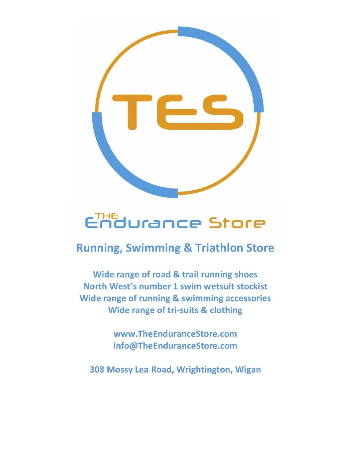

# Endurance Store

## **Running, Swimming & Triathlon Store**

Wide range of road & trail running shoes North West's number 1 swim wetsuit stockist Wide range of running & swimming accessories **Wide range of tri-suits & clothing** 

> www.TheEnduranceStore.com info@TheEnduranceStore.com

308 Mossy Lea Road, Wrightington, Wigan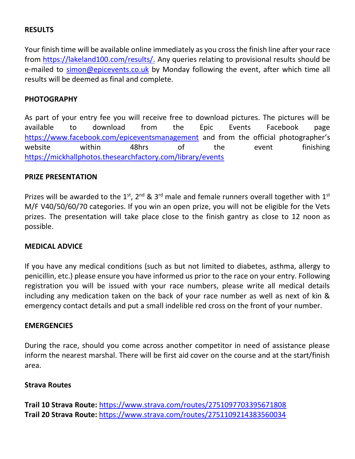#### **RESULTS**

Your finish time will be available online immediately as you cross the finish line after your race from [https://lakeland100.com/results/.](https://lakeland100.com/results/) Any queries relating to provisional results should be e-mailed to [simon@epicevents.co.uk](mailto:simon@epicevents.co.uk) by Monday following the event, after which time all results will be deemed as final and complete.

#### **PHOTOGRAPHY**

As part of your entry fee you will receive free to download pictures. The pictures will be available to download from the Epic Events Facebook page <https://www.facebook.com/epiceventsmanagement> and from the official photographer's website within 48hrs of the event finishing <https://mickhallphotos.thesearchfactory.com/library/events>

#### **PRIZE PRESENTATION**

Prizes will be awarded to the 1<sup>st</sup>, 2<sup>nd</sup> & 3<sup>rd</sup> male and female runners overall together with 1<sup>st</sup> M/F V40/50/60/70 categories. If you win an open prize, you will not be eligible for the Vets prizes. The presentation will take place close to the finish gantry as close to 12 noon as possible.

#### **MEDICAL ADVICE**

If you have any medical conditions (such as but not limited to diabetes, asthma, allergy to penicillin, etc.) please ensure you have informed us prior to the race on your entry. Following registration you will be issued with your race numbers, please write all medical details including any medication taken on the back of your race number as well as next of kin & emergency contact details and put a small indelible red cross on the front of your number.

#### **EMERGENCIES**

During the race, should you come across another competitor in need of assistance please inform the nearest marshal. There will be first aid cover on the course and at the start/finish area.

#### **Strava Routes**

**Trail 10 Strava Route:** <https://www.strava.com/routes/2751097703395671808> **Trail 20 Strava Route:** <https://www.strava.com/routes/2751109214383560034>